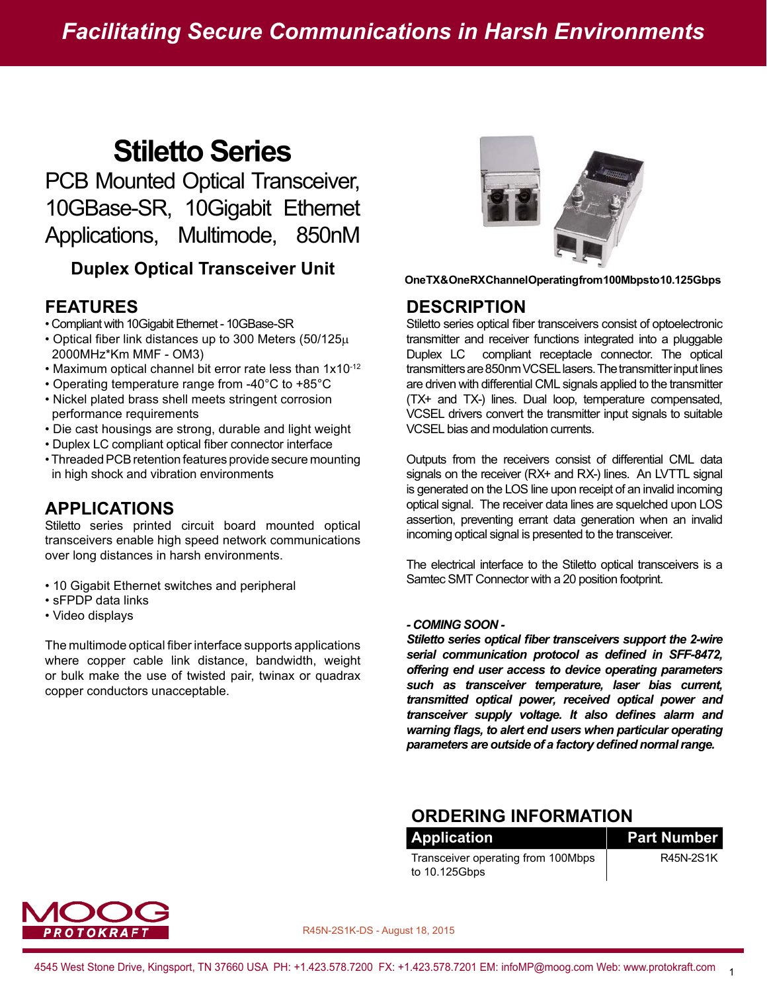# **Stiletto Series**

PCB Mounted Optical Transceiver, 10GBase-SR, 10Gigabit Ethernet Applications, Multimode, 850nM

## **Duplex Optical Transceiver Unit ONEX CONEX Channel Operating from 100Mbps to 10.125Gbps**

#### **FEATURES**

- Compliant with 10Gigabit Ethernet 10GBase-SR
- Optical fiber link distances up to 300 Meters (50/125μ 2000MHz\*Km MMF - OM3)
- Maximum optical channel bit error rate less than 1x10-12
- Operating temperature range from -40°C to +85°C
- Nickel plated brass shell meets stringent corrosion performance requirements
- Die cast housings are strong, durable and light weight
- Duplex LC compliant optical fiber connector interface
- Threaded PCB retention features provide secure mounting in high shock and vibration environments

### **APPLICATIONS**

Stiletto series printed circuit board mounted optical transceivers enable high speed network communications over long distances in harsh environments.

- 10 Gigabit Ethernet switches and peripheral
- sFPDP data links
- Video displays

The multimode optical fiber interface supports applications where copper cable link distance, bandwidth, weight or bulk make the use of twisted pair, twinax or quadrax copper conductors unacceptable.



#### **DESCRIPTION**

Stiletto series optical fiber transceivers consist of optoelectronic transmitter and receiver functions integrated into a pluggable Duplex LC compliant receptacle connector. The optical transmitters are 850nm VCSEL lasers. The transmitter input lines are driven with differential CML signals applied to the transmitter (TX+ and TX-) lines. Dual loop, temperature compensated, VCSEL drivers convert the transmitter input signals to suitable VCSEL bias and modulation currents.

Outputs from the receivers consist of differential CML data signals on the receiver (RX+ and RX-) lines. An LVTTL signal is generated on the LOS line upon receipt of an invalid incoming optical signal. The receiver data lines are squelched upon LOS assertion, preventing errant data generation when an invalid incoming optical signal is presented to the transceiver.

The electrical interface to the Stiletto optical transceivers is a Samtec SMT Connector with a 20 position footprint.

#### *- COMING SOON -*

*Stiletto series optical fiber transceivers support the 2-wire serial communication protocol as defined in SFF-8472, offering end user access to device operating parameters such as transceiver temperature, laser bias current, transmitted optical power, received optical power and transceiver supply voltage. It also defines alarm and warning flags, to alert end users when particular operating parameters are outside of a factory defined normal range.*

#### **ORDERING INFORMATION**

| <b>Application</b>                 | <b>Part Number</b> |
|------------------------------------|--------------------|
| Transceiver operating from 100Mbps | R45N-2S1K          |
| to 10.125Gbps                      |                    |

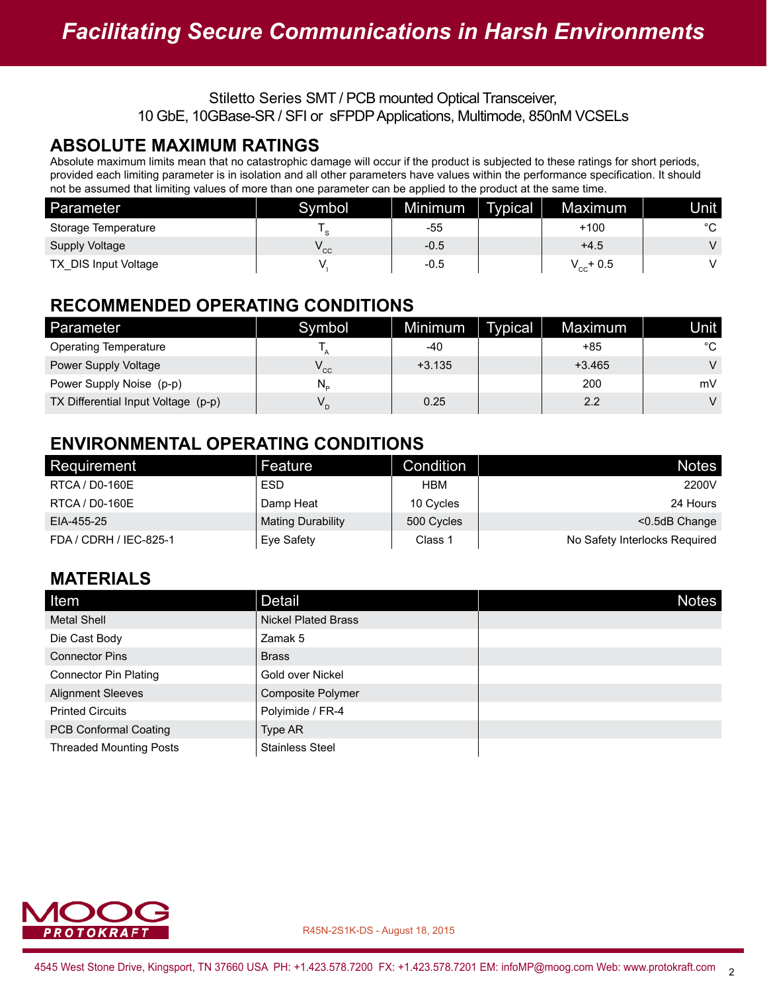#### **ABSOLUTE MAXIMUM RATINGS**

Absolute maximum limits mean that no catastrophic damage will occur if the product is subjected to these ratings for short periods, provided each limiting parameter is in isolation and all other parameters have values within the performance specification. It should not be assumed that limiting values of more than one parameter can be applied to the product at the same time.

| Parameter            | Symbol | Minimum | <b>Typical</b> | Maximum        | Unit   |
|----------------------|--------|---------|----------------|----------------|--------|
| Storage Temperature  | $\sim$ | -55     |                | $+100$         | $\sim$ |
| Supply Voltage       | ' cc   | $-0.5$  |                | $+4.5$         |        |
| TX DIS Input Voltage |        | -0.5    |                | $V_{cc}$ + 0.5 |        |

### **RECOMMENDED OPERATING CONDITIONS**

| Parameter                           | Symbol                     | Minimum  | <b>Typical</b> | Maximum  | Unit   |
|-------------------------------------|----------------------------|----------|----------------|----------|--------|
| <b>Operating Temperature</b>        |                            | -40      |                | +85      | °C     |
| Power Supply Voltage                | $\mathsf{V}_{\mathsf{cc}}$ | $+3.135$ |                | $+3.465$ | $\vee$ |
| Power Supply Noise (p-p)            | N,                         |          |                | 200      | mV     |
| TX Differential Input Voltage (p-p) | $V_{\sim}$                 | 0.25     |                | 2.2      | V      |

### **ENVIRONMENTAL OPERATING CONDITIONS**

| Requirement            | Feature           | Condition  | <b>Notes</b>                  |
|------------------------|-------------------|------------|-------------------------------|
| RTCA / D0-160E         | <b>ESD</b>        | HBM        | 2200V                         |
| RTCA / D0-160E         | Damp Heat         | 10 Cycles  | 24 Hours                      |
| EIA-455-25             | Mating Durability | 500 Cycles | $<$ 0.5dB Change              |
| FDA / CDRH / IEC-825-1 | Eve Safety        | Class 1    | No Safety Interlocks Required |

### **MATERIALS**

| Item                           | Detail                     | <b>Notes</b> |
|--------------------------------|----------------------------|--------------|
| <b>Metal Shell</b>             | <b>Nickel Plated Brass</b> |              |
| Die Cast Body                  | Zamak 5                    |              |
| <b>Connector Pins</b>          | <b>Brass</b>               |              |
| <b>Connector Pin Plating</b>   | Gold over Nickel           |              |
| <b>Alignment Sleeves</b>       | Composite Polymer          |              |
| <b>Printed Circuits</b>        | Polyimide / FR-4           |              |
| <b>PCB Conformal Coating</b>   | Type AR                    |              |
| <b>Threaded Mounting Posts</b> | <b>Stainless Steel</b>     |              |

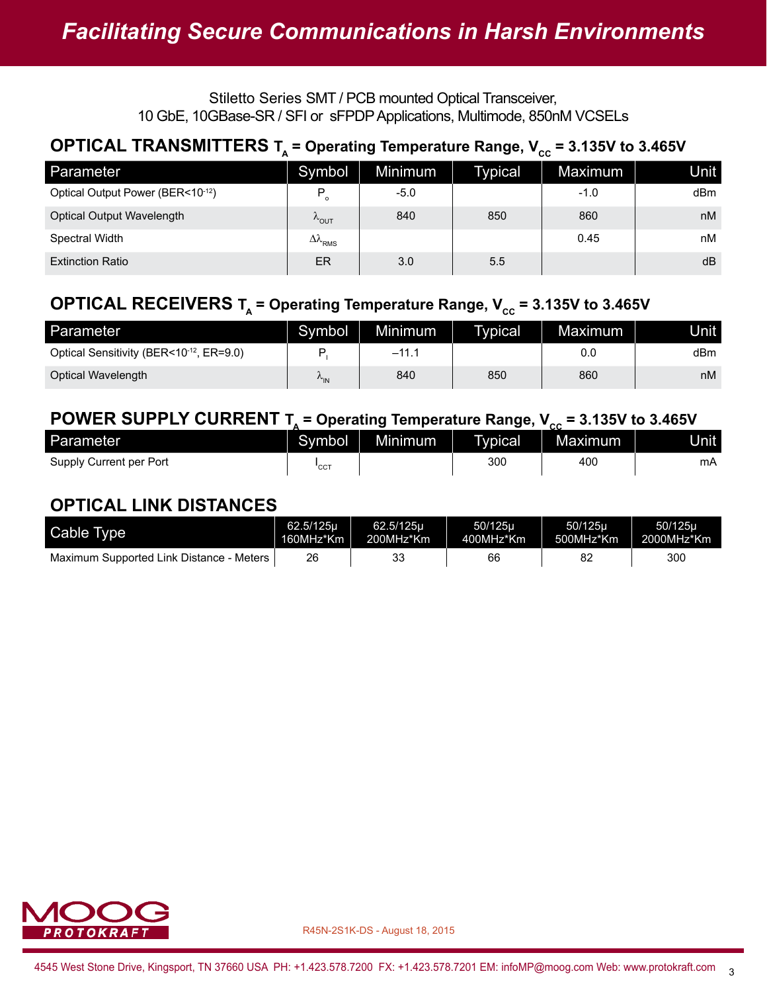### **OPTICAL TRANSMITTERS**  $T_A$  **= Operating Temperature Range,**  $V_{cc}$  **= 3.135V to 3.465V**

| Parameter                        | Symbol                       | Minimum | Typical | Maximum | <b>Unit</b> |
|----------------------------------|------------------------------|---------|---------|---------|-------------|
| Optical Output Power (BER<10-12) | P                            | $-5.0$  |         | $-1.0$  | dBm         |
| Optical Output Wavelength        | $\kappa_{\text{OUT}}$        | 840     | 850     | 860     | nM          |
| Spectral Width                   | $\Delta\lambda_{_{\rm RMS}}$ |         |         | 0.45    | nМ          |
| <b>Extinction Ratio</b>          | ER                           | 3.0     | 5.5     |         | dB          |

### **OPTICAL RECEIVERS T<sub>A</sub> = Operating Temperature Range,**  $V_{cc}$  **= 3.135V to 3.465V**

| Parameter                               | Symbol          | <b>Minimum</b> | Typical | Maximum |     |
|-----------------------------------------|-----------------|----------------|---------|---------|-----|
| Optical Sensitivity (BER<10-12, ER=9.0) |                 | $-11.$         |         | 0.0     | dBm |
| Optical Wavelength                      | $v_{\text{IN}}$ | 840            | 850     | 860     | nM  |

### **POWER SUPPLY CURRENT**  $T_A$  **= Operating Temperature Range,**  $V_{cc}$  **= 3.135V to 3.465V**

| Parameter               | Symbol | Minimum <sup>1</sup> | Typical | --<br><b>Maximum</b> | Unit l |
|-------------------------|--------|----------------------|---------|----------------------|--------|
| Supply Current per Port | 'cc    |                      | 300     | 400                  | mA     |

### **OPTICAL LINK DISTANCES**

| Cable Type                               | 62.5/125u | 62.5/125u | 50/125u   | 50/125u   | 50/125u    |
|------------------------------------------|-----------|-----------|-----------|-----------|------------|
|                                          | 160MHz*Km | 200MHz*Km | 400MHz*Km | 500MHz*Km | 2000MHz*Km |
| Maximum Supported Link Distance - Meters | 26        | 33        | 66        |           | 300        |

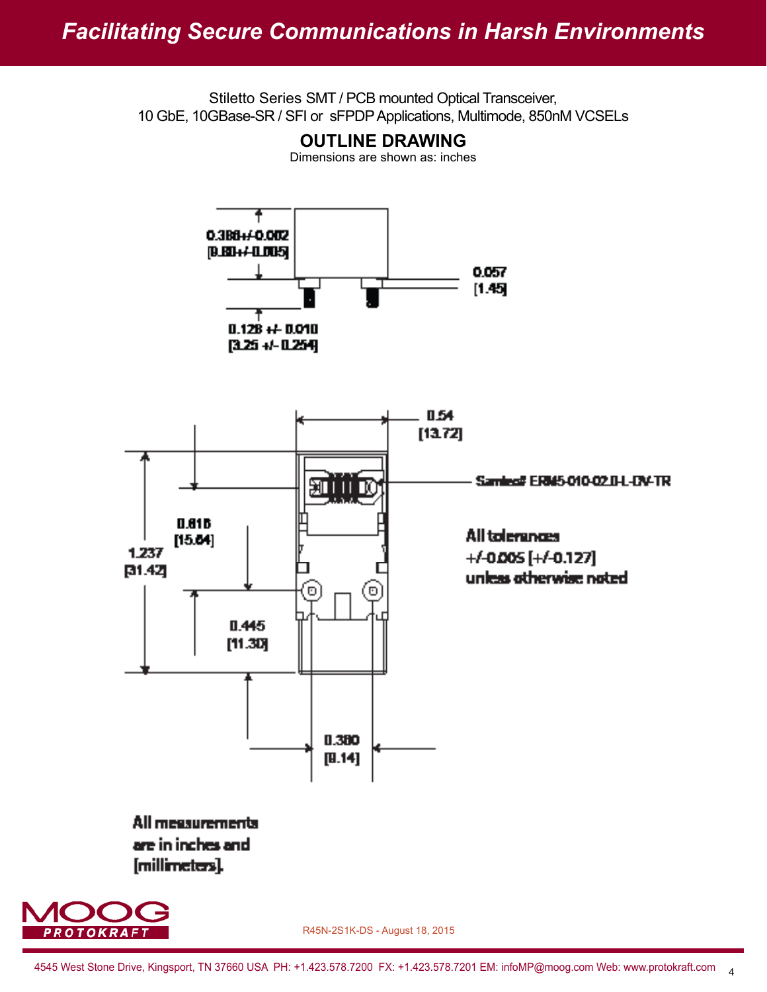

4545 West Stone Drive, Kingsport, TN 37660 USA PH: +1.423.578.7200 FX: +1.423.578.7201 EM: infoMP@moog.com Web: www.protokraft.com 4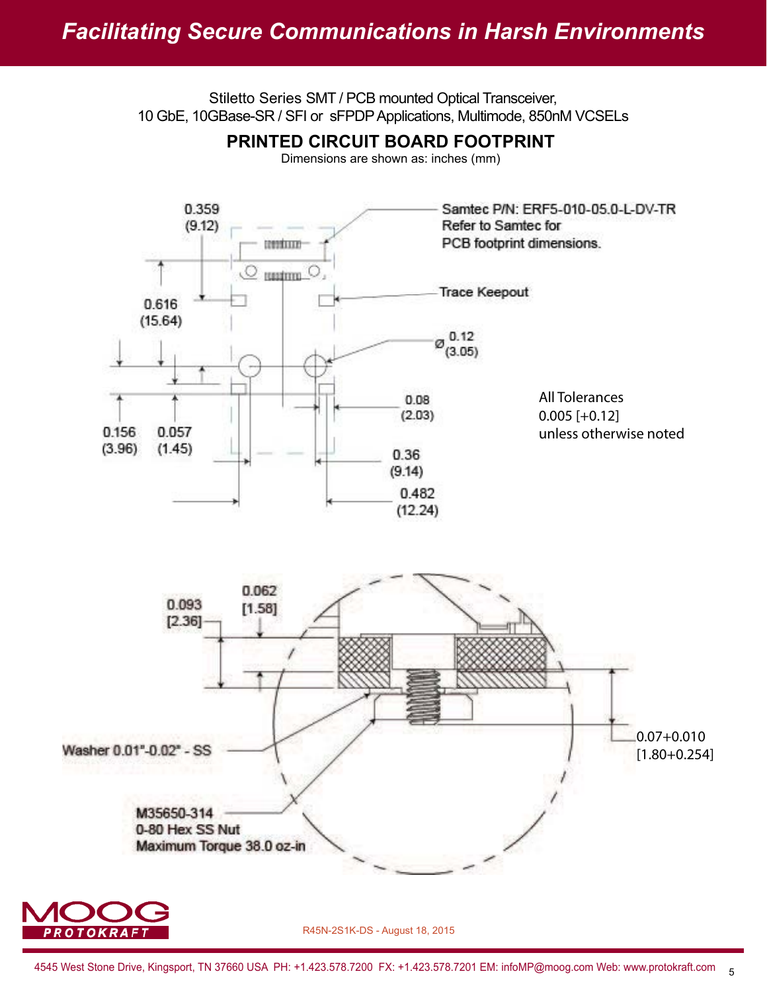## *Facilitating Secure Communications in Harsh Environments*

Stiletto Series SMT / PCB mounted Optical Transceiver, 10 GbE, 10GBase-SR / SFI or sFPDP Applications, Multimode, 850nM VCSELs



4545 West Stone Drive, Kingsport, TN 37660 USA PH: +1.423.578.7200 FX: +1.423.578.7201 EM: infoMP@moog.com Web: www.protokraft.com 5

R45N-2S1K-DS - August 18, 2015

**OTOKRAF1**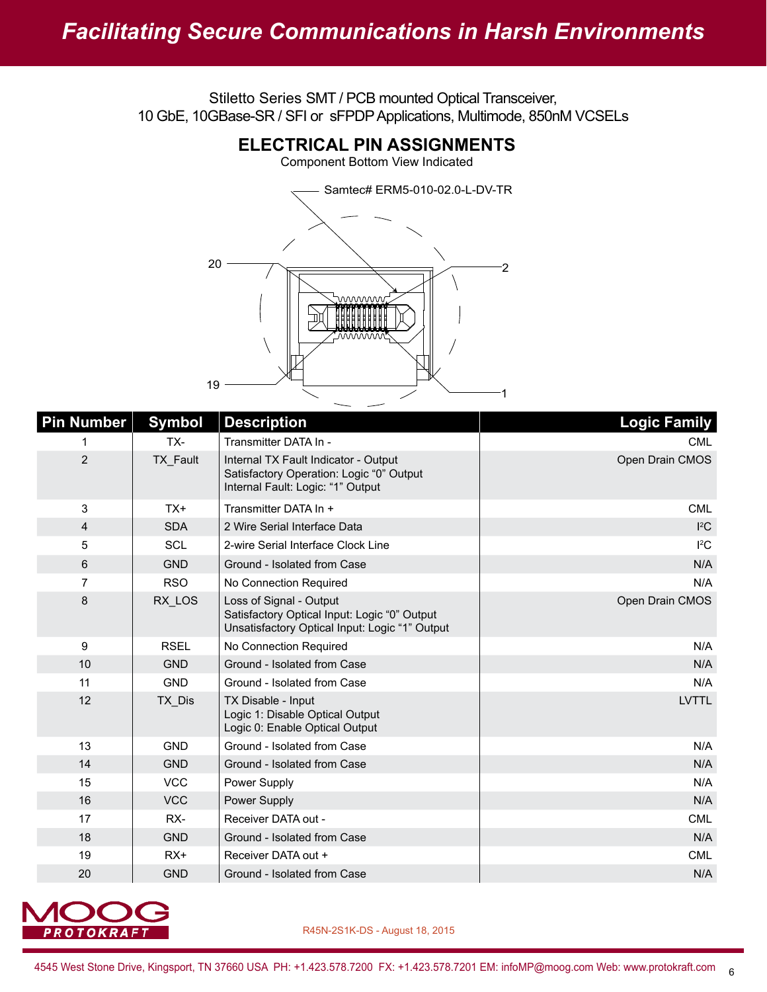

| <b>Pin Number</b> | <b>Symbol</b> | <b>Description</b>                                                                                                        | <b>Logic Family</b> |
|-------------------|---------------|---------------------------------------------------------------------------------------------------------------------------|---------------------|
| 1                 | TX-           | Transmitter DATA In -                                                                                                     | CML.                |
| $\overline{2}$    | TX Fault      | Internal TX Fault Indicator - Output<br>Satisfactory Operation: Logic "0" Output<br>Internal Fault: Logic: "1" Output     | Open Drain CMOS     |
| 3                 | $TX+$         | Transmitter DATA In +                                                                                                     | <b>CML</b>          |
| $\overline{4}$    | <b>SDA</b>    | 2 Wire Serial Interface Data                                                                                              | ${}^{12}C$          |
| 5                 | <b>SCL</b>    | 2-wire Serial Interface Clock Line                                                                                        | ${}^{12}C$          |
| 6                 | <b>GND</b>    | Ground - Isolated from Case                                                                                               | N/A                 |
| $\overline{7}$    | <b>RSO</b>    | No Connection Required                                                                                                    | N/A                 |
| 8                 | RX LOS        | Loss of Signal - Output<br>Satisfactory Optical Input: Logic "0" Output<br>Unsatisfactory Optical Input: Logic "1" Output | Open Drain CMOS     |
| 9                 | <b>RSEL</b>   | No Connection Required                                                                                                    | N/A                 |
| 10                | <b>GND</b>    | Ground - Isolated from Case                                                                                               | N/A                 |
| 11                | <b>GND</b>    | Ground - Isolated from Case                                                                                               | N/A                 |
| 12                | TX Dis        | TX Disable - Input<br>Logic 1: Disable Optical Output<br>Logic 0: Enable Optical Output                                   | <b>LVTTL</b>        |
| 13                | <b>GND</b>    | Ground - Isolated from Case                                                                                               | N/A                 |
| 14                | <b>GND</b>    | Ground - Isolated from Case                                                                                               | N/A                 |
| 15                | <b>VCC</b>    | Power Supply                                                                                                              | N/A                 |
| 16                | <b>VCC</b>    | Power Supply                                                                                                              | N/A                 |
| 17                | RX-           | Receiver DATA out -                                                                                                       | <b>CML</b>          |
| 18                | <b>GND</b>    | Ground - Isolated from Case                                                                                               | N/A                 |
| 19                | $RX+$         | Receiver DATA out +                                                                                                       | <b>CML</b>          |
| 20                | <b>GND</b>    | Ground - Isolated from Case                                                                                               | N/A                 |